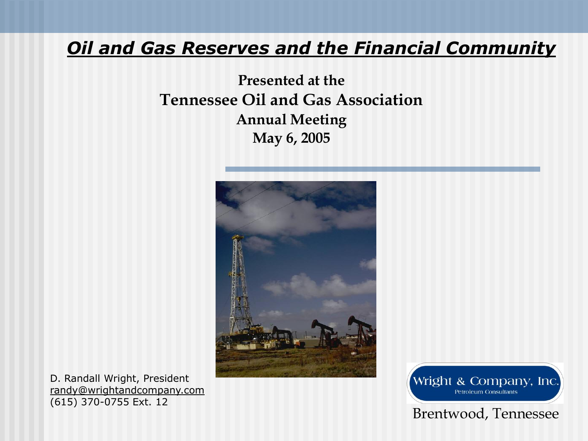#### *Oil and Gas Reserves and the Financial Community*

**Presented at the Tennessee Oil and Gas Association Annual Meeting May 6, 2005**



D. Randall Wright, President randy@wrightandcompany.com (615) 370-0755 Ext. 12

Wright & Company, Inc. **Petroleum Consultants** 

#### Brentwood, Tennessee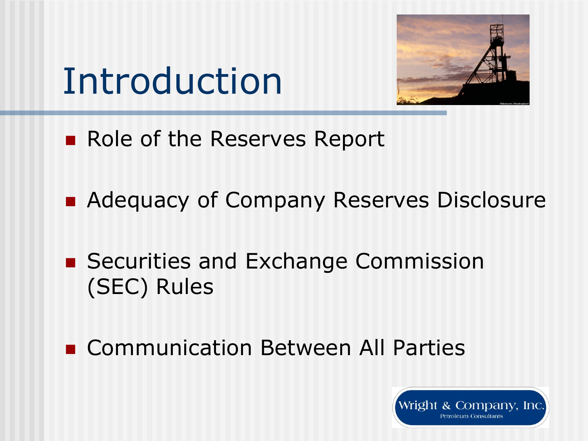# Introduction



- Role of the Reserves Report
- Adequacy of Company Reserves Disclosure
- Securities and Exchange Commission (SEC) Rules
- **E** Communication Between All Parties

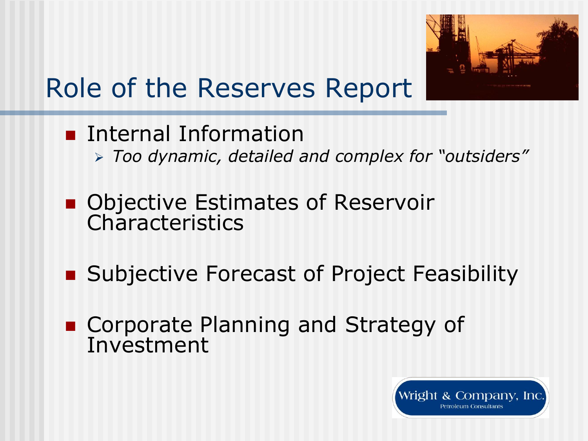

## Role of the Reserves Report

- **Internal Information** *Too dynamic, detailed and complex for "outsiders"*
- Objective Estimates of Reservoir Characteristics
- Subjective Forecast of Project Feasibility
- Corporate Planning and Strategy of Investment

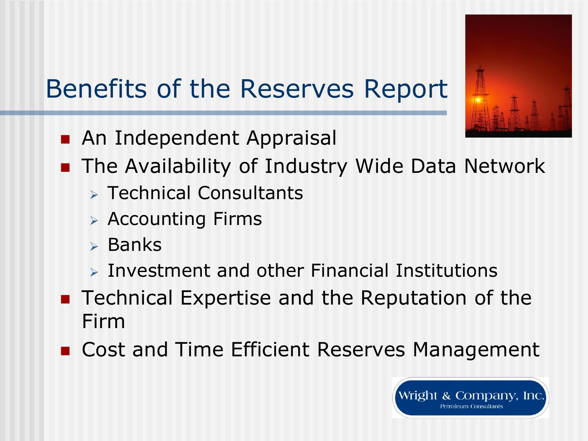

## Benefits of the Reserves Report

- **An Independent Appraisal**
- **The Availability of Industry Wide Data Network** 
	- $\triangleright$  Technical Consultants
	- Accounting Firms
	- $\triangleright$  Banks
	- $\triangleright$  Investment and other Financial Institutions
- Technical Expertise and the Reputation of the Firm
- Cost and Time Efficient Reserves Management

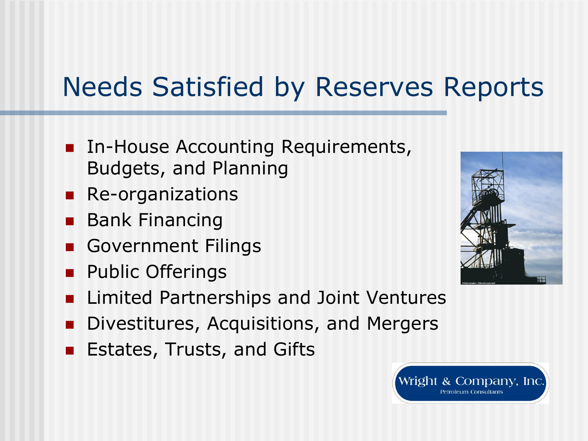## Needs Satisfied by Reserves Reports

- **In-House Accounting Requirements,** Budgets, and Planning
- **Re-organizations**
- **Bank Financing**
- Government Filings
- **Public Offerings**
- Limited Partnerships and Joint Ventures
- **Divestitures, Acquisitions, and Mergers**
- Estates, Trusts, and Gifts



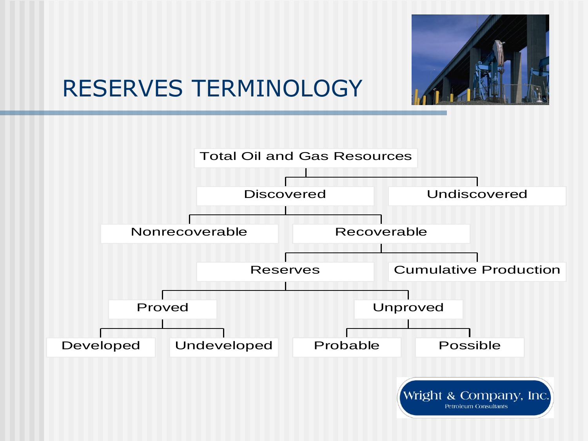

### RESERVES TERMINOLOGY

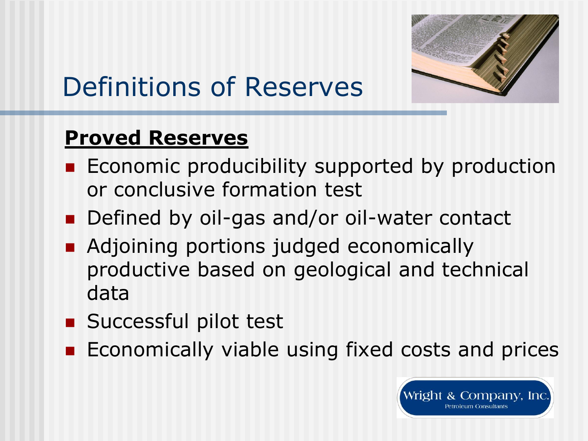

## Definitions of Reserves

#### **Proved Reserves**

- **Example 20 Feromic producibility supported by production** or conclusive formation test
- Defined by oil-gas and/or oil-water contact
- **Adjoining portions judged economically** productive based on geological and technical data
- Successful pilot test
- Economically viable using fixed costs and prices

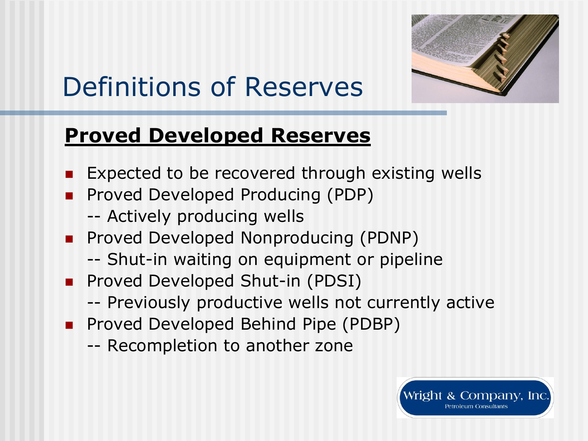

## Definitions of Reserves

### **Proved Developed Reserves**

- Expected to be recovered through existing wells
- **Proved Developed Producing (PDP)** 
	- -- Actively producing wells
- **Proved Developed Nonproducing (PDNP)** 
	- -- Shut-in waiting on equipment or pipeline
- **Proved Developed Shut-in (PDSI)** 
	- -- Previously productive wells not currently active
- **Proved Developed Behind Pipe (PDBP)** 
	- -- Recompletion to another zone

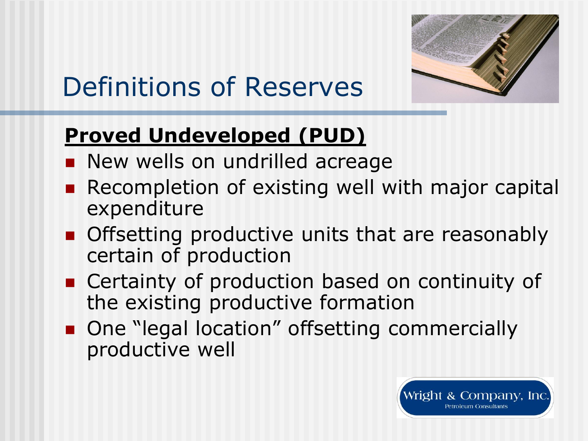

## Definitions of Reserves

### **Proved Undeveloped (PUD)**

- **New wells on undrilled acreage**
- **Recompletion of existing well with major capital** expenditure
- **Offsetting productive units that are reasonably** certain of production
- Certainty of production based on continuity of the existing productive formation
- One "legal location" offsetting commercially productive well

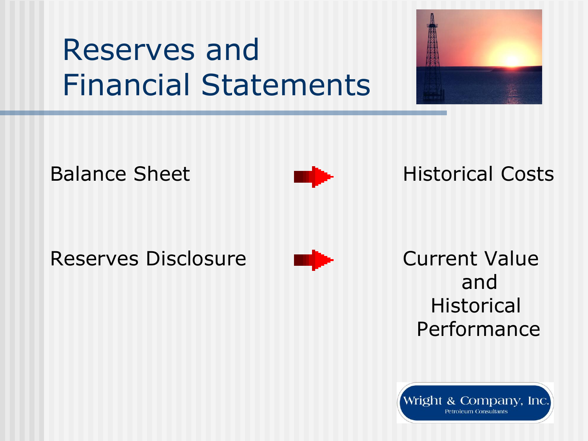## Reserves and Financial Statements





### Balance Sheet **Historical Costs**

Reserves Disclosure **Current Value** 



and **Historical** Performance

Wright & Company, Inc. **Petroleum Consultants**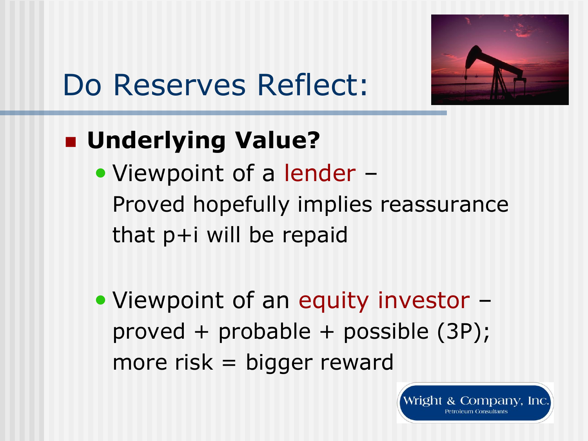

# Do Reserves Reflect:

### **Underlying Value?**

• Viewpoint of a lender – Proved hopefully implies reassurance that p+i will be repaid

• Viewpoint of an equity investor – proved + probable + possible (3P); more risk = bigger reward

> Wright & Company, Inc. **Petroleum Consultants**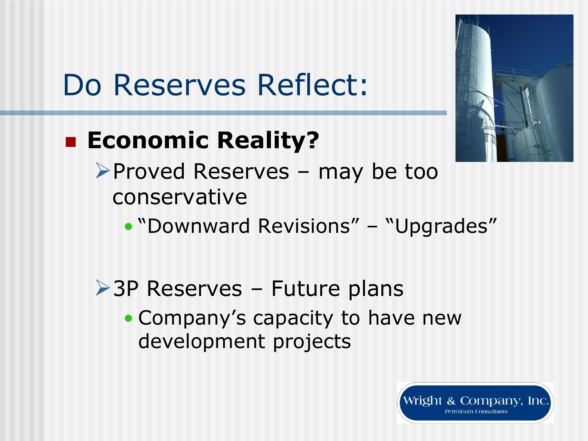

# Do Reserves Reflect:

### **Economic Reality?**

- Proved Reserves may be too conservative
	- "Downward Revisions" "Upgrades"
- **≻3P Reserves Future plans** 
	- Company's capacity to have new development projects

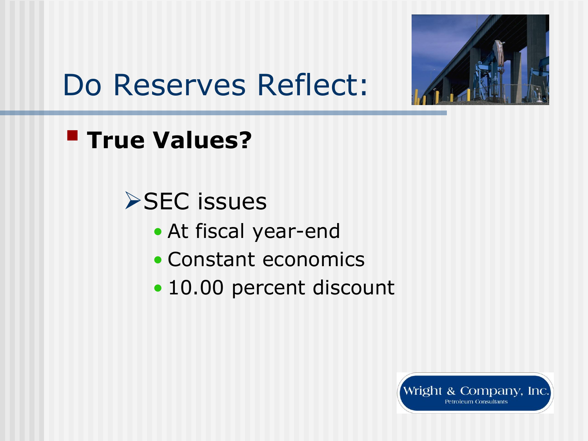

## Do Reserves Reflect:

**True Values?** 

**>SEC** issues

- At fiscal year-end
- Constant economics
- 10.00 percent discount

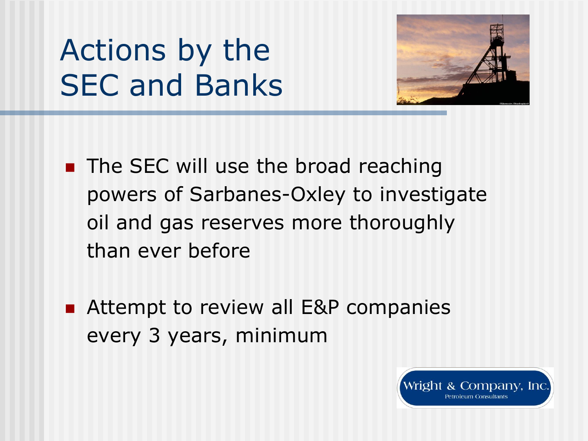## Actions by the SEC and Banks



- **The SEC will use the broad reaching** powers of Sarbanes-Oxley to investigate oil and gas reserves more thoroughly than ever before
- Attempt to review all E&P companies every 3 years, minimum

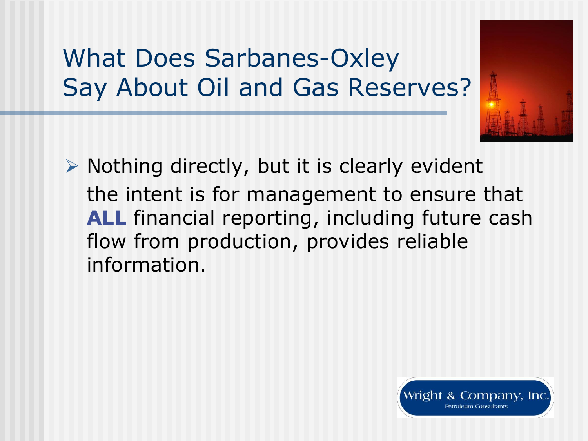### What Does Sarbanes-Oxley Say About Oil and Gas Reserves?



 $\triangleright$  Nothing directly, but it is clearly evident the intent is for management to ensure that **ALL** financial reporting, including future cash flow from production, provides reliable information.

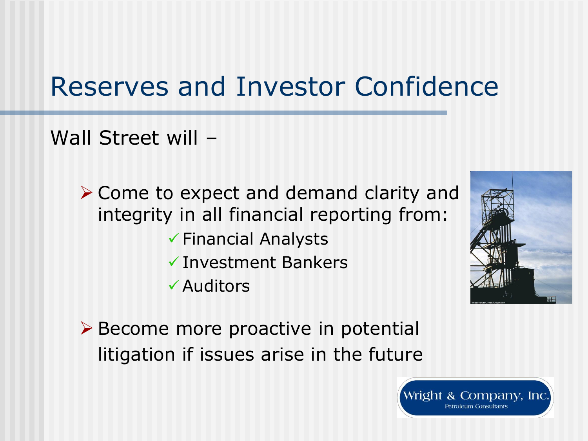### Reserves and Investor Confidence

Wall Street will -

▶ Come to expect and demand clarity and integrity in all financial reporting from:  $\checkmark$  Financial Analysts Investment Bankers Auditors



**≻ Become more proactive in potential** litigation if issues arise in the future

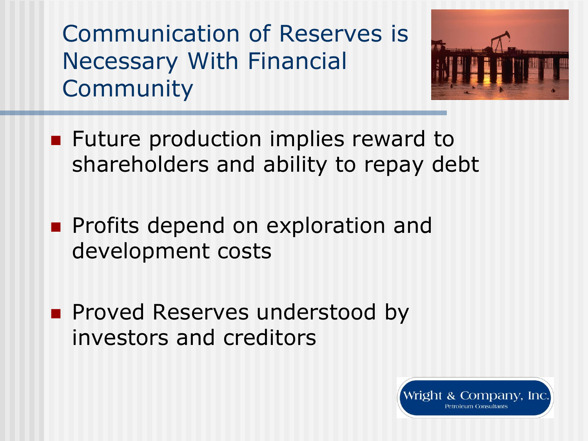Communication of Reserves is Necessary With Financial **Community** 



- **Future production implies reward to** shareholders and ability to repay debt
- **Profits depend on exploration and** development costs
- **Proved Reserves understood by** investors and creditors

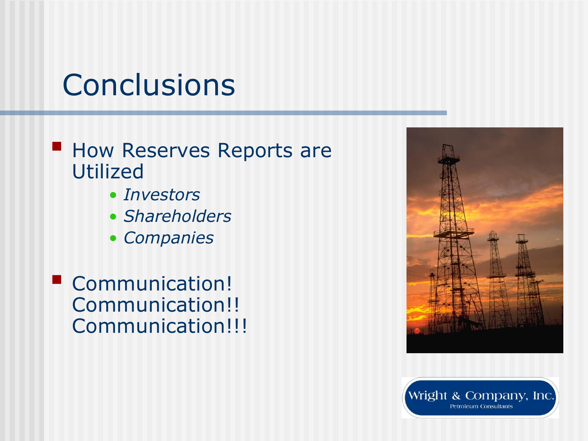## **Conclusions**

#### **How Reserves Reports are** Utilized

- *Investors*
- *Shareholders*
- *Companies*
- **Communication!** Communication!! Communication!!!



Wright & Company, Inc. **Petroleum Consultants**